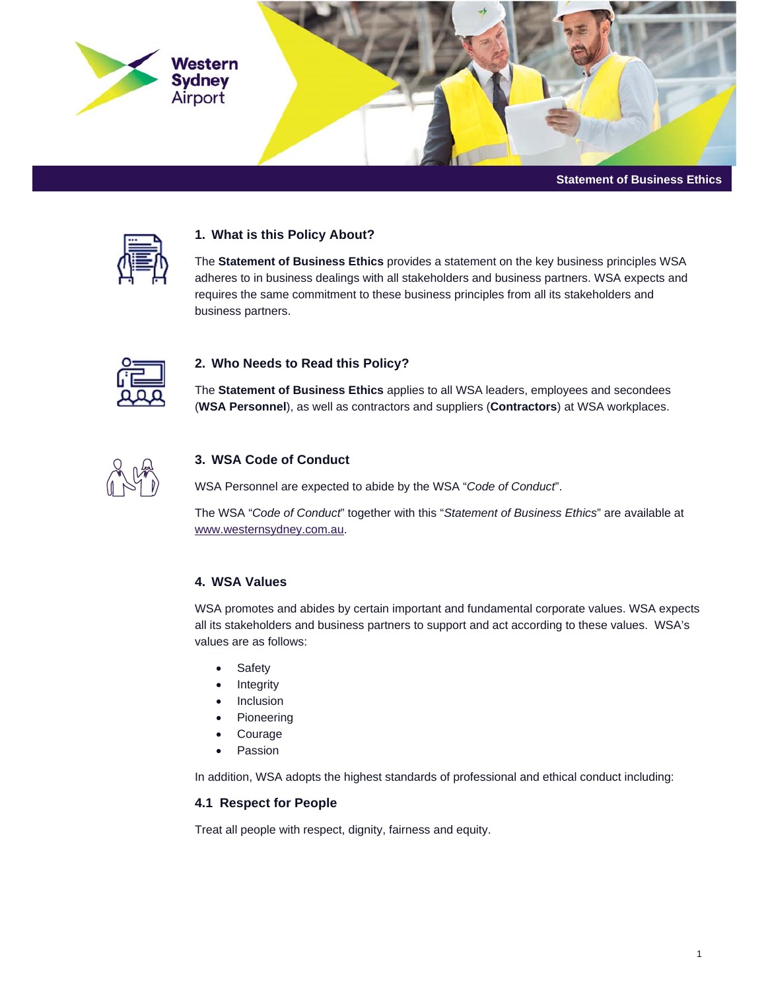



## **1. What is this Policy About?**

The **Statement of Business Ethics** provides a statement on the key business principles WSA adheres to in business dealings with all stakeholders and business partners. WSA expects and requires the same commitment to these business principles from all its stakeholders and business partners.



## **2. Who Needs to Read this Policy?**

The **Statement of Business Ethics** applies to all WSA leaders, employees and secondees (**WSA Personnel**), as well as contractors and suppliers (**Contractors**) at WSA workplaces.



## **3. WSA Code of Conduct**

WSA Personnel are expected to abide by the WSA "*Code of Conduct*".

The WSA "*Code of Conduct*" together with this "*Statement of Business Ethics*" are available at www.westernsydney.com.au.

### **4. WSA Values**

WSA promotes and abides by certain important and fundamental corporate values. WSA expects all its stakeholders and business partners to support and act according to these values. WSA's values are as follows:

- Safety
- Integrity
- Inclusion
- Pioneering
- Courage
- Passion

In addition, WSA adopts the highest standards of professional and ethical conduct including:

#### **4.1 Respect for People**

Treat all people with respect, dignity, fairness and equity.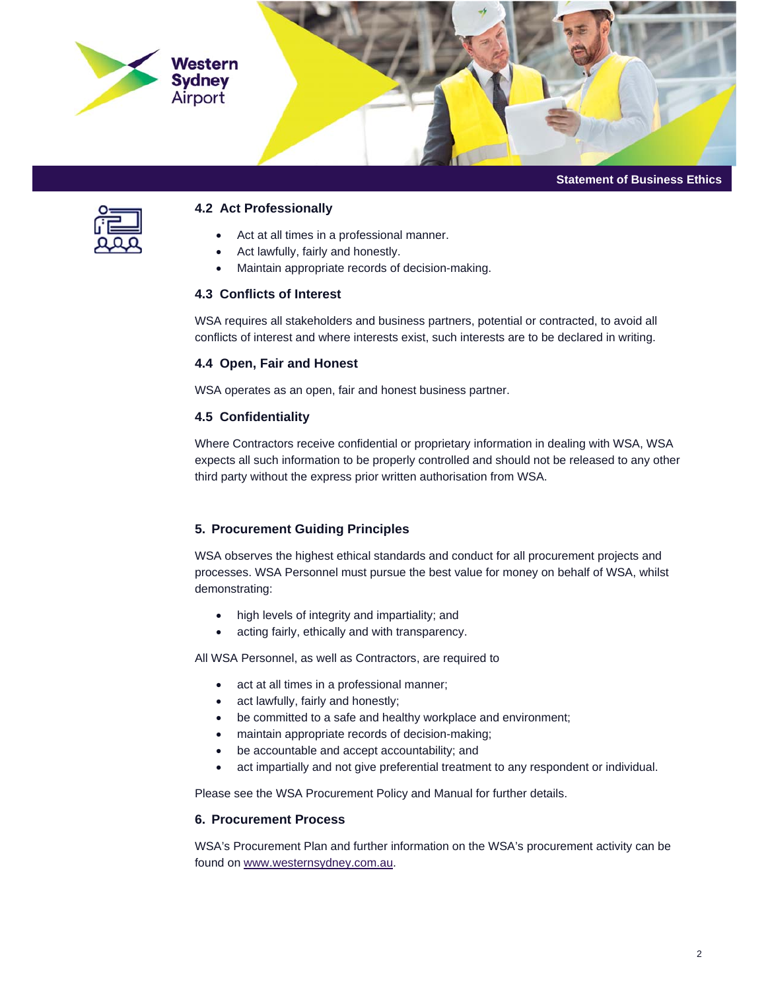

**Statement of Business Ethics** 



### **4.2 Act Professionally**

- Act at all times in a professional manner.
- Act lawfully, fairly and honestly.
- Maintain appropriate records of decision-making.

## **4.3 Conflicts of Interest**

WSA requires all stakeholders and business partners, potential or contracted, to avoid all conflicts of interest and where interests exist, such interests are to be declared in writing.

## **4.4 Open, Fair and Honest**

WSA operates as an open, fair and honest business partner.

## **4.5 Confidentiality**

Where Contractors receive confidential or proprietary information in dealing with WSA, WSA expects all such information to be properly controlled and should not be released to any other third party without the express prior written authorisation from WSA.

# **5. Procurement Guiding Principles**

WSA observes the highest ethical standards and conduct for all procurement projects and processes. WSA Personnel must pursue the best value for money on behalf of WSA, whilst demonstrating:

- high levels of integrity and impartiality; and
- acting fairly, ethically and with transparency.

All WSA Personnel, as well as Contractors, are required to

- act at all times in a professional manner;
- act lawfully, fairly and honestly;
- be committed to a safe and healthy workplace and environment;
- maintain appropriate records of decision-making;
- be accountable and accept accountability; and
- act impartially and not give preferential treatment to any respondent or individual.

Please see the WSA Procurement Policy and Manual for further details.

### **6. Procurement Process**

WSA's Procurement Plan and further information on the WSA's procurement activity can be found on www.westernsydney.com.au.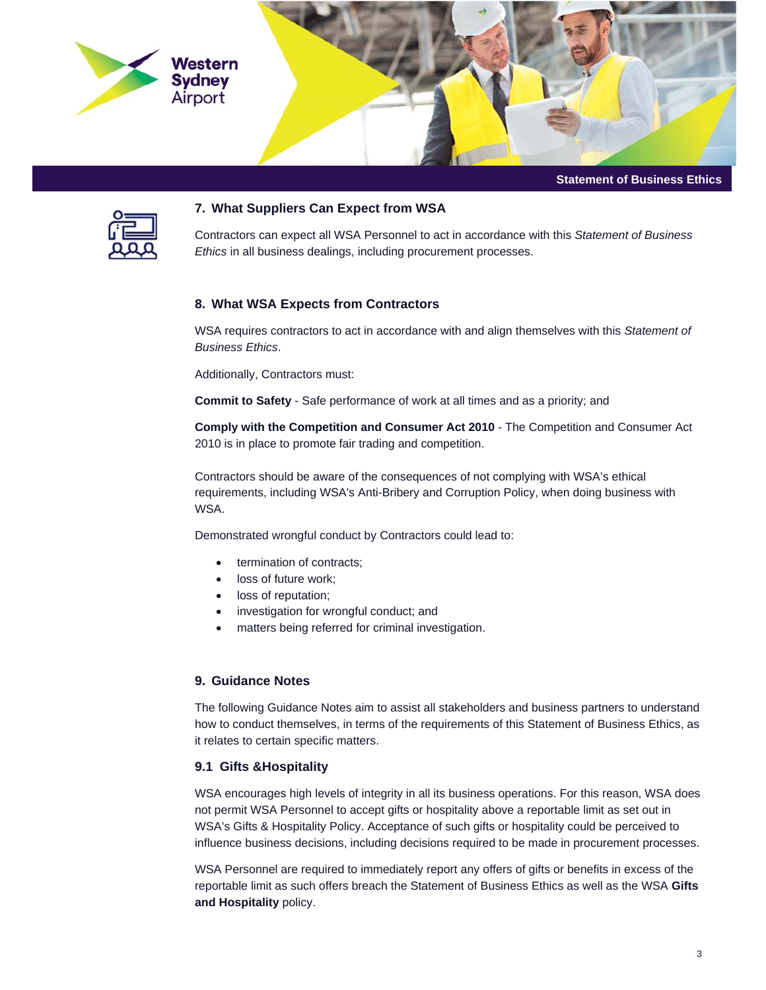

**Statement of Business Ethics** 



### **7. What Suppliers Can Expect from WSA**

Contractors can expect all WSA Personnel to act in accordance with this *Statement of Business Ethics* in all business dealings, including procurement processes.

### **8. What WSA Expects from Contractors**

WSA requires contractors to act in accordance with and align themselves with this *Statement of Business Ethics*.

Additionally, Contractors must:

**Commit to Safety** - Safe performance of work at all times and as a priority; and

**Comply with the Competition and Consumer Act 2010** - The Competition and Consumer Act 2010 is in place to promote fair trading and competition.

Contractors should be aware of the consequences of not complying with WSA's ethical requirements, including WSA's Anti-Bribery and Corruption Policy, when doing business with WSA.

Demonstrated wrongful conduct by Contractors could lead to:

- termination of contracts;
- loss of future work;
- loss of reputation;
- investigation for wrongful conduct; and
- matters being referred for criminal investigation.

## **9. Guidance Notes**

The following Guidance Notes aim to assist all stakeholders and business partners to understand how to conduct themselves, in terms of the requirements of this Statement of Business Ethics, as it relates to certain specific matters.

#### **9.1 Gifts &Hospitality**

WSA encourages high levels of integrity in all its business operations. For this reason, WSA does not permit WSA Personnel to accept gifts or hospitality above a reportable limit as set out in WSA's Gifts & Hospitality Policy. Acceptance of such gifts or hospitality could be perceived to influence business decisions, including decisions required to be made in procurement processes.

WSA Personnel are required to immediately report any offers of gifts or benefits in excess of the reportable limit as such offers breach the Statement of Business Ethics as well as the WSA **Gifts and Hospitality** policy.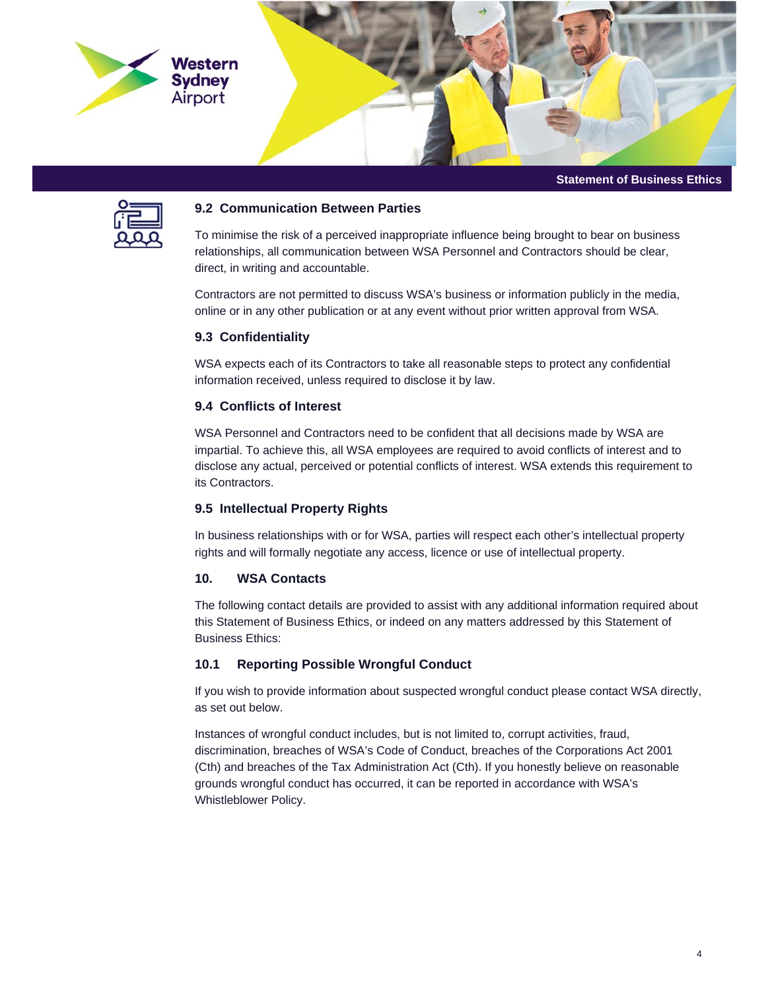

**Statement of Business Ethics** 



#### **9.2 Communication Between Parties**

To minimise the risk of a perceived inappropriate influence being brought to bear on business relationships, all communication between WSA Personnel and Contractors should be clear, direct, in writing and accountable.

Contractors are not permitted to discuss WSA's business or information publicly in the media, online or in any other publication or at any event without prior written approval from WSA.

### **9.3 Confidentiality**

WSA expects each of its Contractors to take all reasonable steps to protect any confidential information received, unless required to disclose it by law.

### **9.4 Conflicts of Interest**

WSA Personnel and Contractors need to be confident that all decisions made by WSA are impartial. To achieve this, all WSA employees are required to avoid conflicts of interest and to disclose any actual, perceived or potential conflicts of interest. WSA extends this requirement to its Contractors.

## **9.5 Intellectual Property Rights**

In business relationships with or for WSA, parties will respect each other's intellectual property rights and will formally negotiate any access, licence or use of intellectual property.

#### **10. WSA Contacts**

The following contact details are provided to assist with any additional information required about this Statement of Business Ethics, or indeed on any matters addressed by this Statement of Business Ethics:

### **10.1 Reporting Possible Wrongful Conduct**

If you wish to provide information about suspected wrongful conduct please contact WSA directly, as set out below.

Instances of wrongful conduct includes, but is not limited to, corrupt activities, fraud, discrimination, breaches of WSA's Code of Conduct, breaches of the Corporations Act 2001 (Cth) and breaches of the Tax Administration Act (Cth). If you honestly believe on reasonable grounds wrongful conduct has occurred, it can be reported in accordance with WSA's Whistleblower Policy.